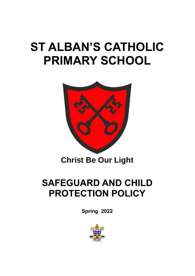# **ST ALBAN'S CATHOLIC PRIMARY SCHOOL**



## **Christ Be Our Light**

## **SAFEGUARD AND CHILD PROTECTION POLICY**

**Spring 2022**

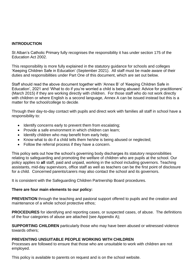#### **INTRODUCTION**

St Alban's Catholic Primary fully recognises the responsibility it has under section 175 of the Education Act 2002.

This responsibility is more fully explained in the statutory guidance for schools and colleges 'Keeping Children Safe in Education' (September 2021). All staff must be made aware of their duties and responsibilities under Part One of this document, which are set out below.

Staff should read the above document together with 'Annex B' of 'Keeping Children Safe in Education', 2021 and 'What to do if you're worried a child is being abused: Advice for practitioners' (March 2015) if they are working directly with children. For those staff who do not work directly with children or where English is a second language, Annex A can be issued instead but this is a matter for the school/college to decide.

Through their day-to-day contact with pupils and direct work with families all staff in school have a responsibility to:

- Identify concerns early to prevent them from escalating;
- Provide a safe environment in which children can learn;
- Identify children who may benefit from early help;
- Know what to do if a child tells them he/she is being abused or neglected;
- Follow the referral process if they have a concern.

This policy sets out how the school's governing body discharges its statutory responsibilities relating to safeguarding and promoting the welfare of children who are pupils at the school. Our policy applies to **all** staff, paid and unpaid, working in the school including governors. Teaching assistants, mid-day supervisors, office staff as well as teachers can be the first point of disclosure for a child. Concerned parents/carers may also contact the school and its governors.

It is consistent with the Safeguarding Children Partnership Board procedures.

#### **There are four main elements to our policy:**

**PREVENTION** through the teaching and pastoral support offered to pupils and the creation and maintenance of a whole school protective ethos;

**PROCEDURES** for identifying and reporting cases, or suspected cases, of abuse. The definitions of the four categories of abuse are attached (see Appendix A);

**SUPPORTING CHILDREN** particularly those who may have been abused or witnessed violence towards others;

#### **PREVENTING UNSUITABLE PEOPLE WORKING WITH CHILDREN**

Processes are followed to ensure that those who are unsuitable to work with children are not employed.

This policy is available to parents on request and is on the school website.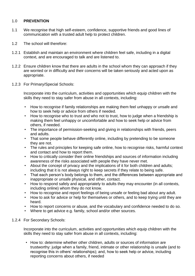#### 1.0 **PREVENTION**

- 1.1 We recognise that high self-esteem, confidence, supportive friends and good lines of communication with a trusted adult help to protect children.
- 1.2 The school will therefore:
- 1.2.1 Establish and maintain an environment where children feel safe, including in a digital context, and are encouraged to talk and are listened to.
- 1.2.2 Ensure children know that there are adults in the school whom they can approach if they are worried or in difficulty and their concerns will be taken seriously and acted upon as appropriate.
- 1.2.3 For Primary/Special Schools:

Incorporate into the curriculum, activities and opportunities which equip children with the skills they need to stay safer from abuse in all contexts, including:

- How to recognise if family relationships are making them feel unhappy or unsafe and how to seek help or advice from others if needed.
- How to recognise who to trust and who not to trust, how to judge when a friendship is making them feel unhappy or uncomfortable and how to seek help or advice from others, if needed.
- The importance of permission-seeking and giving in relationships with friends, peers and adults.
- That some people behave differently online, including by pretending to be someone they are not.
- The rules and principles for keeping safe online, how to recognise risks, harmful context and contact and how to report them.
- How to critically consider their online friendships and sources of information including awareness of the risks associated with people they have never met.
- About the concept of privacy and the implications of it for both children and adults; including that it is not always right to keep secrets if they relate to being safe.
- That each person's body belongs to them, and the differences between appropriate and inappropriate or unsafe physical, and other, contact.
- How to respond safely and appropriately to adults they may encounter (in all contexts, including online) whom they do not know.
- How to recognise and report feelings of being unsafe or feeling bad about any adult.
- How to ask for advice or help for themselves or others, and to keep trying until they are heard.
- How to report concerns or abuse, and the vocabulary and confidence needed to do so.
- Where to get advice e.g. family, school and/or other sources.
- 1.2.4 For Secondary Schools:

Incorporate into the curriculum, activities and opportunities which equip children with the skills they need to stay safer from abuse in all contexts, including:

• How to: determine whether other children, adults or sources of information are trustworthy: judge when a family, friend, intimate or other relationship is unsafe (and to recognise this in others' relationships); and, how to seek help or advice, including reporting concerns about others, if needed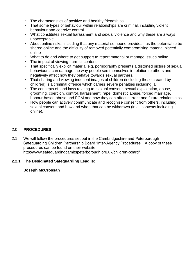- The characteristics of positive and healthy friendships
- That some types of behaviour within relationships are criminal, including violent behaviour and coercive control
- What constitutes sexual harassment and sexual violence and why these are always unacceptable
- About online risks, including that any material someone provides has the potential to be shared online and the difficulty of removed potentially compromising material placed online
- What to do and where to get support to report material or manage issues online
- The impact of viewing harmful content
- That specifically explicit material e.g. pornography presents a distorted picture of sexual behaviours, can damage the way people see themselves in relation to others and negatively affect how they behave towards sexual partners.
- That sharing and viewing indecent images of children (including those created by children) is a criminal offence which carries severe penalties including jail
- The concepts of, and laws relating to, sexual consent, sexual exploitation, abuse, grooming, coercion, control, harassment, rape, domestic abuse, forced marriage, honour-based abuse and FGM and how they can affect current and future relationships.
- How people can actively communicate and recognise consent from others, including sexual consent and how and when that can be withdrawn (in all contexts including online).

#### 2.0 **PROCEDURES**

2.1 We will follow the procedures set out in the Cambridgeshire and Peterborough Safeguarding Children Partnership Board 'Inter-Agency Procedures'. A copy of these procedures can be found on their website: <http://www.safeguardingcambspeterborough.org.uk/children-board/>

#### **2.2.1 The Designated Safeguarding Lead is:**

#### **Joseph McCrossan**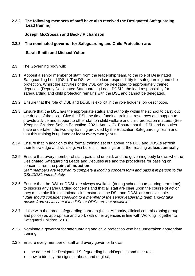#### **2.2.2 The following members of staff have also received the Designated Safeguarding Lead training:**

#### **Joseph McCrossan and Becky Richardson**

#### **2.2.3 The nominated governor for Safeguarding and Child Protection are:**

#### **Sarah Smith and Michael Yelton**

- 2.3 The Governing body will:
- 2.3.1 Appoint a senior member of staff, from the leadership team, to the role of Designated Safeguarding Lead (DSL). The DSL will take lead responsibility for safeguarding and child protection. Whilst the activities of the DSL can be delegated to appropriately trained deputies, (Deputy Designated Safeguarding Lead, DDSL), the lead responsibility for safeguarding and child protection remains with the DSL and cannot be delegated.
- 2.3.2 Ensure that the role of DSL and DDSL is explicit in the role holder's job description.
- 2.3.3 Ensure that the DSL has the appropriate status and authority within the school to carry out the duties of the post. Give the DSL the time, funding, training, resources and support to provide advice and support to other staff on child welfare and child protection matters. (See 'Keeping Children Safe in Education, 2021, Annex C). Ensure that the DSL and deputies have undertaken the two day training provided by the Education Safeguarding Team and that this training is updated **at least every two years.**
- 2.3.4 Ensure that in addition to the formal training set out above, the DSL and DDSLs refresh their knowledge and skills e.g. via bulletins, meetings or further reading **at least annually**.
- 2.3.5 Ensure that every member of staff, paid and unpaid, and the governing body knows who the Designated Safeguarding Leads and Deputies are and the procedures for passing on concerns from the **point of induction**. *Staff members are required to complete a logging concern form and pass it in person to the DSL/DDSL immediately.*
- 2.3.6 Ensure that the DSL or DDSL are always available (during school hours, during term-time) to discuss any safeguarding concerns and that all staff are clear upon the course of action they must take if in exceptional circumstances the DSL and DDSL are not available. *"Staff should consider speaking to a member of the senior leadership team and/or take advice from social care if the DSL or DDSL are not available".*
- 2.3.7 Liaise with the three safeguarding partners (Local Authority, clinical commissioning group and police) as appropriate and work with other agencies in line with Working Together to Safeguard Children, 2018.
- 2.3.7 Nominate a governor for safeguarding and child protection who has undertaken appropriate training.
- 2.3.8 Ensure every member of staff and every governor knows:
	- the name of the Designated Safeguarding Lead/Deputies and their role;
	- how to identify the signs of abuse and neglect: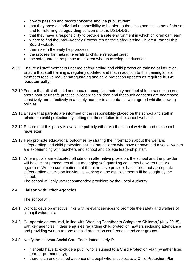- how to pass on and record concerns about a pupil/student;
- that they have an individual responsibility to be alert to the signs and indicators of abuse; and for referring safeguarding concerns to the DSL/DDSL;
- that they have a responsibility to provide a safe environment in which children can learn;
- where to find the Inter–Agency Procedures on the Safeguarding Children Partnership Board website;
- their role in the early help process;
- the process for making referrals to children's social care;
- the safeguarding response to children who go missing in education.
- 2.3.9 Ensure all staff members undergo safeguarding and child protection training at induction. Ensure that staff training is regularly updated and that in addition to this training all staff members receive regular safeguarding and child protection updates as required **but at least annually.**
- 2.3.10 Ensure that all staff, paid and unpaid, recognise their duty and feel able to raise concerns about poor or unsafe practice in regard to children and that such concerns are addressed sensitively and effectively in a timely manner in accordance with agreed whistle-blowing policies.
- 2.3.11 Ensure that parents are informed of the responsibility placed on the school and staff in relation to child protection by setting out these duties in the school website*.*
- 2.3.12 Ensure that this policy is available publicly either via the school website and the school newsletter.
- 2.3.13 Help promote educational outcomes by sharing the information about the welfare, safeguarding and child protection issues that children who have or have had a social worker are experiencing with teachers and school and college leadership staff.
- 2.3.14 Where pupils are educated off site or in alternative provision, the school and the provider will have clear procedures about managing safeguarding concerns between the two agencies. Written confirmation that the alternative provider has carried out appropriate safeguarding checks on individuals working at the establishment will be sought by the school.

The school will only use recommended providers by the Local Authority.

#### 2.4 **Liaison with Other Agencies**

The school will:

- 2.4.1 Work to develop effective links with relevant services to promote the safety and welfare of all pupils/students.
- 2.4.2 Co-operate as required, in line with 'Working Together to Safeguard Children,' (July 2018), with key agencies in their enquiries regarding child protection matters including attendance and providing written reports at child protection conferences and core groups.
- 2.4.3 Notify the relevant Social Care Team immediately if:
	- it should have to exclude a pupil who is subject to a Child Protection Plan (whether fixed term or permanently);
	- there is an unexplained absence of a pupil who is subject to a Child Protection Plan;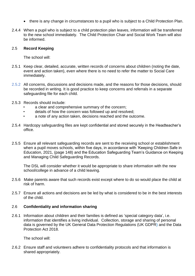- there is any change in circumstances to a pupil who is subject to a Child Protection Plan.
- 2.4.4 When a pupil who is subject to a child protection plan leaves, information will be transferred to the new school immediately. The Child Protection Chair and Social Work Team will also be informed.

#### 2.5 **Record Keeping**

The school will:

- 2.5.1 Keep clear, detailed, accurate, written records of concerns about children (noting the date, event and action taken), even where there is no need to refer the matter to Social Care immediately.
- 2.5.2 All concerns, discussions and decisions made, and the reasons for those decisions, should be recorded in writing. It is good practice to keep concerns and referrals in a separate safeguarding file for each child.
- 2.5.3 Records should include:
	- a clear and comprehensive summary of the concern;
	- details of how the concern was followed up and resolved;
	- a note of any action taken, decisions reached and the outcome.
- 2.5.4 Hardcopy safeguarding files are kept confidential and stored securely in the Headteacher's office.
- 2.5.5 Ensure all relevant safeguarding records are sent to the receiving school or establishment when a pupil moves schools, within five days, in accordance with 'Keeping Children Safe in Education, 2021, (page 148) and the Education Safeguarding Team's Guidance on Keeping and Managing Child Safeguarding Records.

The DSL will consider whether it would be appropriate to share information with the new school/college in advance of a child leaving.

- 2.5.6 Make parents aware that such records exist except where to do so would place the child at risk of harm.
- 2.5.7 Ensure all actions and decisions are be led by what is considered to be in the best interests of the child.

#### 2.6 **Confidentiality and information sharing**

2.6.1 Information about children and their families is defined as 'special category data', i.e. information that identifies a living individual. Collection, storage and sharing of personal data is governed by the UK General Data Protection Regulations (UK GDPR) and the Data Protection Act 2018.

The school will:

2.6.2 Ensure staff and volunteers adhere to confidentiality protocols and that information is shared appropriately.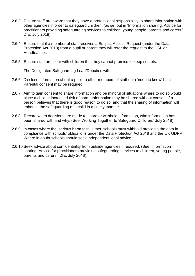- 2.6.3 Ensure staff are aware that they have a professional responsibility to share information with other agencies in order to safeguard children, (as set out in 'Information sharing; Advice for practitioners providing safeguarding services to children, young people, parents and carers,' DfE, July 2018).
- 2.6.4 Ensure that if a member of staff receives a Subject Access Request (under the Data Protection Act 2018) from a pupil or parent they will refer the request to the DSL or Headteacher.
- 2.6.5 Ensure staff are clear with children that they cannot promise to keep secrets.

The Designated Safeguarding Lead/Deputies will:

- 2.6.6 Disclose information about a pupil to other members of staff on a 'need to know' basis. Parental consent may be required.
- 2.6.7 Aim to gain consent to share information and be mindful of situations where to do so would place a child at increased risk of harm. Information may be shared without consent if a person believes that there is good reason to do so, and that the sharing of information will enhance the safeguarding of a child in a timely manner.
- 2.6.8 Record when decisions are made to share or withhold information, who information has been shared with and why. (See 'Working Together to Safeguard Children,' July 2018)
- 2.6.9 In cases where the 'serious harm test' is met, schools must withhold providing the data in compliance with schools' obligations under the Data Protection Act 2018 and the UK GDPR. Where in doubt schools should seek independent legal advice.
- 2.6.10 Seek advice about confidentiality from outside agencies if required. (See 'Information sharing; Advice for practitioners providing safeguarding services to children, young people, parents and carers,' DfE, July 2018).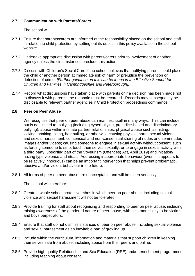#### 2.7 **Communication with Parents/Carers**

The school will:

- 2.7.1 Ensure that parents/carers are informed of the responsibility placed on the school and staff in relation to child protection by setting out its duties in this policy available in the school website .
- 2.7.2 Undertake appropriate discussion with parents/carers prior to involvement of another agency unless the circumstances preclude this action.
- 2.7.3 Discuss with Children's Social Care if the school believes that notifying parents could place the child or another person at immediate risk of harm or prejudice the prevention or detection of crime. *[Further guidance on this can be found in the Effective Support for Children and Families in Cambridgeshire and Peterborough].*
- 2.7.4 Record what discussions have taken place with parents or if a decision has been made not to discuss it with parents, the rationale must be recorded. Records may subsequently be disclosable to relevant partner agencies if Child Protection proceedings commence.

#### **2.8 Peer on Peer Abuse**

We recognise that peer on peer abuse can manifest itself in many ways. This can include but is not limited to: bullying (including cyberbullying, prejudice-based and discriminatory bullying); abuse within intimate partner relationships; physical abuse such as hitting, kicking, shaking, biting, hair pulling, or otherwise causing physical harm; sexual violence and sexual harassment; consensual and non-consensual sharing of nudes and semi-nudes images and/or videos; causing someone to engage in sexual activity without consent, such as forcing someone to strip, touch themselves sexually, or to engage in sexual activity with a third party; upskirting part of the Voyeurism (Offences) Act, April 2019) and initiation/ hazing type violence and rituals. Addressing inappropriate behaviour (even if it appears to be relatively innocuous) can be an important intervention that helps prevent problematic, abusive and/or violent behaviour in the future.

2.8.1 All forms of peer on peer abuse are unacceptable and will be taken seriously.

The school will therefore:

- 2.8.2 Create a whole school protective ethos in which peer on peer abuse, including sexual violence and sexual harassment will not be tolerated.
- 2.8.3 Provide training for staff about recognising and responding to peer on peer abuse, including raising awareness of the gendered nature of peer abuse, with girls more likely to be victims and boys perpetrators.
- 2.8.4 Ensure that staff do not dismiss instances of peer on peer abuse, including sexual violence and sexual harassment as an inevitable part of growing up.
- 2.8.5 Include within the curriculum, information and materials that support children in keeping themselves safe from abuse, including abuse from their peers and online.
- 2.8.6 Provide high quality Relationship and Sex Education (RSE) and/or enrichment programmes including teaching about consent.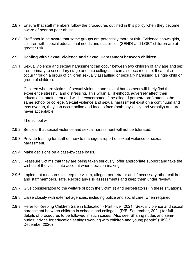- 2.8.7 Ensure that staff members follow the procedures outlined in this policy when they become aware of peer on peer abuse.
- 2.8.8 Staff should be aware that some groups are potentially more at risk. Evidence shows girls, children with special educational needs and disabilities (SEND) and LGBT children are at greater risk.

#### 2.9 **Dealing with Sexual Violence and Sexual Harassment between children**

2.9.1 Sexual violence and sexual harassment can occur between two children of any age and sex from primary to secondary stage and into colleges. It can also occur online. It can also occur through a group of children sexually assaulting or sexually harassing a single child or group of children.

Children who are victims of sexual violence and sexual harassment will likely find the experience stressful and distressing. This will,in all likelihood, adversely affect their educational attainment and will be exacerbated if the alleged perpetrator(s) attends the same school or college. Sexual violence and sexual harassment exist on a continuum and may overlap, they can occur online and face to face (both physically and verbally) and are never acceptable.

The school will:

- 2.9.2 Be clear that sexual violence and sexual harassment will not be tolerated.
- 2.9.3 Provide training for staff on how to manage a report of sexual violence or sexual harassment.
- 2.9.4 Make decisions on a case-by-case basis.
- 2.9.5 Reassure victims that they are being taken seriously, offer appropriate support and take the wishes of the victim into account when decision making.
- 2.9.6 Implement measures to keep the victim, alleged perpetrator and if necessary other children and staff members, safe. Record any risk assessments and keep them under review.
- 2.9.7 Give consideration to the welfare of both the victim(s) and perpetrator(s) in these situations.
- 2.9.8 Liaise closely with external agencies, including police and social care, when required.
- 2.9.9 Refer to 'Keeping Children Safe in Education Part Five', 2021, 'Sexual violence and sexual harassment between children in schools and colleges,' (DfE, September, 2021) for full details of procedures to be followed in such cases. Also see 'Sharing nudes and seminudes: advice for education settings working with children and young people' (UKCIS, December 2020)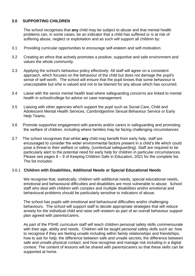#### **3.0 SUPPORTING CHILDREN**

The school recognises that **any** child may be subject to abuse and that mental health problems can, in some cases, be an indicator that a child has suffered or is at risk of suffering abuse, neglect or exploitation and as such will support all children by:

- 3.1 Providing curricular opportunities to encourage self-esteem and self-motivation.
- 3.2 Creating an ethos that actively promotes a positive, supportive and safe environment and values the whole community.
- 3.3 Applying the school's behaviour policy effectively. All staff will agree on a consistent approach, which focuses on the behaviour of the child but does not damage the pupil's sense of self-worth. The school will ensure that the pupil knows that some behaviour is unacceptable but s/he is valued and not to be blamed for any abuse which has occurred.
- 3.4 Liaise with the senior mental health lead where safeguarding concerns are linked to mental health in school/college for advice on case management.
- 3.5 Liaising with other agencies which support the pupil such as Social Care, Child and Adolescent Mental Health Services, Cambridgeshire Sexual Behaviour Service or Early Help Teams.
- 3.6 Promote supportive engagement with parents and/or carers in safeguarding and promoting the welfare of children, including where families may be facing challenging circumstances
- 3.7 The school recognises that whilst **any** child may benefit from early help, staff are encouraged to consider the wider environmental factors present in a child's life which could pose a threat to their welfare or safety, (contextual safeguarding). Staff are required to be particularly alert to the potential need for early help for children in particular circumstances. Please see pages 8 – 9 of Keeping Children Safe in Education, 2021 for the complete list. The list includes:

#### 3.6.1 **Children with Disabilities, Additional Needs or Special Educational Needs**

We recognise that, statistically, children with additional needs, special educational needs, emotional and behavioural difficulties and disabilities are most vulnerable to abuse. School staff who deal with children with complex and multiple disabilities and/or emotional and behavioural problems should be particularly sensitive to indicators of abuse*.* 

The school has pupils with emotional and behavioural difficulties and/or challenging behaviours. The school will support staff to decide appropriate strategies that will reduce anxiety for the individual child and raise self–esteem as part of an overall behaviour support plan agreed with parents/carers.

As part of the PSHE curriculum staff will teach children personal safety skills commensurate with their age, ability and needs. Children will be taught personal safety skills such as: how to recognise if they are feeling unsafe including within family relationships and friendships; how to ask for help; the difference between safe and unsafe secrets; the difference between safe and unsafe physical contact; and how recognise and manage risk including in a digital context. The content of lessons will be shared with parents/carers so that these skills can be supported at home.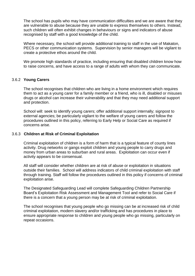The school has pupils who may have communication difficulties and we are aware that they are vulnerable to abuse because they are unable to express themselves to others. Instead, such children will often exhibit changes in behaviours or signs and indicators of abuse recognised by staff with a good knowledge of the child.

Where necessary, the school will provide additional training to staff in the use of Makaton, PECS or other communication systems. Supervision by senior managers will be vigilant to create a protective ethos around the child.

We promote high standards of practice, including ensuring that disabled children know how to raise concerns, and have access to a range of adults with whom they can communicate.

#### 3.6.2 **Young Carers**

The school recognises that children who are living in a home environment which requires them to act as a young carer for a family member or a friend, who is ill, disabled or misuses drugs or alcohol can increase their vulnerability and that they may need additional support and protection.

School will: seek to identify young carers; offer additional support internally; signpost to external agencies; be particularly vigilant to the welfare of young carers and follow the procedures outlined in this policy, referring to Early Help or Social Care as required if concerns arise.

#### 3.6.3 **Children at Risk of Criminal Exploitation**

Criminal exploitation of children is a form of harm that is a typical feature of county lines activity. Drug networks or gangs exploit children and young people to carry drugs and money from urban areas to suburban and rural areas. Exploitation can occur even if activity appears to be consensual.

All staff will consider whether children are at risk of abuse or exploitation in situations outside their families. School will address indicators of child criminal exploitation with staff through training. Staff will follow the procedures outlined in this policy if concerns of criminal exploitation arise.

The Designated Safeguarding Lead will complete Safeguarding Children Partnership Board's [Exploitation Risk Assessment and Management Tool](http://www.safeguardingcambspeterborough.org.uk/wp-content/uploads/2018/05/Exploitation-CSECCE-Risk-Assessment-Tool.docx) and refer to Social Care if there is a concern that a young person may be at risk of criminal exploitation.

The school recognises that young people who go missing can be at increased risk of child criminal exploitation, modern slavery and/or trafficking and has procedures in place to ensure appropriate response to children and young people who go missing, particularly on repeat occasions.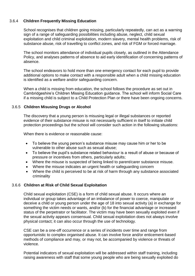#### 3.6.4 **Children Frequently Missing Education**

School recognises that children going missing, particularly repeatedly, can act as a warning sign of a range of safeguarding possibilities including abuse, neglect, child sexual exploitation and child criminal exploitation, modern slavery, mental health problems, risk of substance abuse, risk of travelling to conflict zones, and risk of FGM or forced marriage.

The school monitors attendance of individual pupils closely, as outlined in the Attendance Policy, and analyses patterns of absence to aid early identification of concerning patterns of absence.

The school endeavors to hold more than one emergency contact for each pupil to provide additional options to make contact with a responsible adult when a child missing education is identified as a welfare and/or safeguarding concern.

When a child is missing from education, the school follows the procedure as set out in Cambridgeshire's Children Missing Education guidance. The school will inform Social Care if a missing child is subject to a Child Protection Plan or there have been ongoing concerns.

#### 3.6.5 **Children Misusing Drugs or Alcohol**

The discovery that a young person is misusing legal or illegal substances or reported evidence of their substance misuse is not necessarily sufficient in itself to initiate child protection proceedings but the school will consider such action in the following situations:

When there is evidence or reasonable cause:

- To believe the young person's substance misuse may cause him or her to be vulnerable to other abuse such as sexual abuse;
- To believe the pupil's substance related behaviour is a result of abuse or because of pressure or incentives from others, particularly adults;
- Where the misuse is suspected of being linked to parent/carer substance misuse.
- Where the misuse indicates an urgent health or safeguarding concern
- Where the child is perceived to be at risk of harm through any substance associated criminality

#### 3.6.6 **Children at Risk of Child Sexual Exploitation**

Child sexual exploitation (CSE) is a form of child sexual abuse. It occurs where an individual or group takes advantage of an imbalance of power to coerce, manipulate or deceive a child or young person under the age of 18 into sexual activity (a) in exchange for something the victim needs or wants, and/or (b) for the financial advantage or increased status of the perpetrator or facilitator. The victim may have been sexually exploited even if the sexual activity appears consensual. Child sexual exploitation does not always involve physical contact; it can also occur through the use of technology.

CSE can be a one-off occurrence or a series of incidents over time and range from opportunistic to complex organised abuse. It can involve force and/or enticement-based methods of compliance and may, or may not, be accompanied by violence or threats of violence.

Potential indicators of sexual exploitation will be addressed within staff training, including raising awareness with staff that some young people who are being sexually exploited do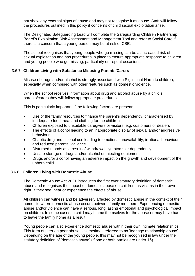not show any external signs of abuse and may not recognise it as abuse. Staff will follow the procedures outlined in this policy if concerns of child sexual exploitation arise.

The Designated Safeguarding Lead will complete the Safeguarding Children Partnership Board's [Exploitation Risk Assessment and Management Tool](http://www.safeguardingcambspeterborough.org.uk/wp-content/uploads/2018/05/Exploitation-CSECCE-Risk-Assessment-Tool.docx) and refer to Social Care if there is a concern that a young person may be at risk of CSE.

The school recognises that young people who go missing can be at increased risk of sexual exploitation and has procedures in place to ensure appropriate response to children and young people who go missing, particularly on repeat occasions.

#### 3.6.7 **Children Living with Substance Misusing Parents/Carers**

Misuse of drugs and/or alcohol is strongly associated with Significant Harm to children, especially when combined with other features such as domestic violence.

When the school receives information about drug and alcohol abuse by a child's parents/carers they will follow appropriate procedures.

This is particularly important if the following factors are present:

- Use of the family resources to finance the parent's dependency, characterised by inadequate food, heat and clothing for the children
- Children exposed to unsuitable caregivers or visitors, e.g. customers or dealers
- The effects of alcohol leading to an inappropriate display of sexual and/or aggressive behaviour
- Chaotic drug and alcohol use leading to emotional unavailability, irrational behaviour and reduced parental vigilance
- Disturbed moods as a result of withdrawal symptoms or dependency
- Unsafe storage of drugs and/or alcohol or injecting equipment
- Drugs and/or alcohol having an adverse impact on the growth and development of the unborn child

#### 3.6.8 **Children Living with Domestic Abuse**

The Domestic Abuse Act 2021 introduces the first ever statutory definition of domestic abuse and recognises the impact of domestic abuse on children, as victims in their own right, if they see, hear or experience the effects of abuse.

All children can witness and be adversely affected by domestic abuse in the context of their home life where domestic abuse occurs between family members. Experiencing domestic abuse and/or violence can have a serious, long lasting emotional and psychological impact on children. In some cases, a child may blame themselves for the abuse or may have had to leave the family home as a result.

Young people can also experience domestic abuse within their own intimate relationships. This form of peer on peer abuse is sometimes referred to as 'teenage relationship abuse'. Depending on the age of the young people, this may not be recognised in law under the statutory definition of 'domestic abuse' (if one or both parties are under 16).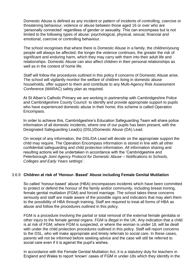Domestic Abuse is defined as any incident or pattern of incidents of controlling, coercive or threatening behaviour, violence or abuse between those aged 16 or over who are 'personally connected' regardless of gender or sexuality. This can encompass but is not limited to the following types of abuse: psychological, physical, sexual, financial and emotional, coercive or controlling behaviour.

The school recognises that where there is Domestic Abuse in a family, the children/young people will always be affected; the longer the violence continues, the greater the risk of significant and enduring harm, which they may carry with them into their adult life and relationships. Domestic Abuse can also affect children in their personal relationships as well as in the context of home life.

Staff will follow the procedures outlined in this policy if concerns of Domestic Abuse arise. The school will vigilantly monitor the welfare of children living in domestic abuse households, offer support to them and contribute to any Multi-Agency Risk Assessment Conference (MARAC) safety plan as required.

At St Alban's Catholic Primary we are working in partnership with Cambridgeshire Police and Cambridgeshire County Council to identify and provide appropriate support to pupils who have experienced domestic abuse in their home; this scheme is called Operation Encompass.

In order to achieve this, Cambridgeshire's Education Safeguarding Team will share police information of all domestic incidents, where one of our pupils has been present, with the Designated Safeguarding Lead(s) (DSL)/Domestic Abuse (DA) Lead.

On receipt of any information, the DSL/DA Lead will decide on the appropriate support the child may require. The Operation Encompass information is stored in line with all other confidential safeguarding and child protection information. All information sharing and resulting actions will be undertaken in accordance with the 'Cambridgeshire and Peterborough *Joint Agency Protocol for Domestic Abuse – Notifications to Schools, Colleges and Early Years settings*'.

#### 3.6.9 **Children at risk of 'Honour- Based' Abuse including Female Genital Mutilation**

So called 'honour-based' abuse (HBA) encompasses incidents which have been committed to protect or defend the honour of the family and/or community, including breast ironing, female genital mutilation (FGM) and forced marriage. The school takes these concerns seriously and staff are made aware of the possible signs and indicators that may alert them to the possibility of HBA through training. Staff are required to treat all forms of HBA as abuse and follow the procedures outlined in this policy.

FGM is a procedure involving the partial or total removal of the external female genitalia or other injury to the female genital organs. FGM is illegal in the UK. Any indication that a child is at risk of FGM, where FGM is suspected, or where the woman is under 18, will be dealt with under the child protection procedures outlined in this policy. Staff will report concerns to the DSL, who will make appropriate and timely referrals to social care. In these cases, parents will not be informed before seeking advice and the case will still be referred to social care even if it is against the pupil's wishes.

In accordance with the Female Genital Mutilation Act, it is a statutory duty for teachers in England and Wales to report 'known' cases of FGM in under-18s which they identify in the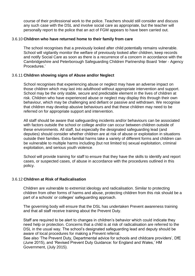course of their professional work to the police. Teachers should still consider and discuss any such case with the DSL and involve social care as appropriate, but the teacher will personally report to the police that an act of FGM appears to have been carried out.

#### 3.6.10 **Children who have returned home to their family from care**

The school recognises that a previously looked after child potentially remains vulnerable. School will vigilantly monitor the welfare of previously looked after children, keep records and notify Social Care as soon as there is a recurrence of a concern in accordance with the Cambridgeshire and Peterborough Safeguarding Children Partnership Board 'Inter - Agency Procedures.'

#### 3.6.11 **Children showing signs of Abuse and/or Neglect**

School recognises that experiencing abuse or neglect may have an adverse impact on those children which may last into adulthood without appropriate intervention and support. School may be the only stable, secure and predictable element in the lives of children at risk. Children who have experienced abuse or neglect may display this through their own behaviour, which may be challenging and defiant or passive and withdrawn. We recognise that children may develop abusive behaviours and that these children may need to be referred on for appropriate support and intervention.

All staff should be aware that safeguarding incidents and/or behaviours can be associated with factors outside the school or college and/or can occur between children outside of these environments. All staff, but especially the designated safeguarding lead (and deputies) should consider whether children are at risk of abuse or exploitation in situations outside their families. Extra-familial harms take a variety of different forms and children can be vulnerable to multiple harms including (but not limited to) sexual exploitation, criminal exploitation, and serious youth violence.

School will provide training for staff to ensure that they have the skills to identify and report cases, or suspected cases, of abuse in accordance with the procedures outlined in this policy.

#### 3.6.12 **Children at Risk of Radicalisation**

Children are vulnerable to extremist ideology and radicalisation. Similar to protecting children from other forms of harms and abuse, protecting children from this risk should be a part of a schools' or colleges' safeguarding approach.

The governing body will ensure that the DSL has undertaken Prevent awareness training and that all staff receive training about the Prevent Duty.

Staff are required to be alert to changes in children's behavior which could indicate they need help or protection. Concerns that a child is at risk of radicalisation are referred to the DSL in the usual way. The school's designated safeguarding lead and deputy should be aware of local procedures for making a Prevent referral.

See also 'The Prevent Duty, Departmental advice for schools and childcare providers', DfE (June 2015), and 'Revised Prevent Duty Guidance: for England and Wales,' HM Government, (July 2015).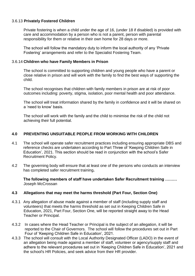#### 3.6.13 **Privately Fostered Children**

Private fostering is when a child under the age of 16, (under 18 if disabled) is provided with care and accommodation by a person who is not a parent, person with parental responsibility for them or relative in their own home for 28 days or more.

The school will follow the mandatory duty to inform the local authority of any 'Private Fostering' arrangements and refer to the Specialist Fostering Team.

#### 3.6.14 **Children who have Family Members in Prison**

The school is committed to supporting children and young people who have a parent or close relative in prison and will work with the family to find the best ways of supporting the child.

The school recognises that children with family members in prison are at risk of poor outcomes including: poverty, stigma, isolation, poor mental health and poor attendance.

The school will treat information shared by the family in confidence and it will be shared on a 'need to know' basis.

The school will work with the family and the child to minimise the risk of the child not achieving their full potential.

#### **4.0 PREVENTING UNSUITABLE PEOPLE FROM WORKING WITH CHILDREN**

- 4.1 The school will operate safer recruitment practices including ensuring appropriate DBS and reference checks are undertaken according to Part Three of 'Keeping Children Safe in Education', 2021. This section should be read in conjunction with the school's Safer Recruitment Policy.
- 4.2 The governing body will ensure that at least one of the persons who conducts an interview has completed safer recruitment training**.**

**The following members of staff have undertaken Safer Recruitment training ………** Joseph McCrossan

#### **4.3 Allegations that may meet the harms threshold (Part Four, Section One)**

- 4.3.1 Any allegation of abuse made against a member of staff (including supply staff and volunteers) that meets the harms threshold as set out in Keeping Children Safe in Education, 2021, Part Four, Section One, will be reported straight away to the Head Teacher or Principal.
- 4.3.2 In cases where the Head Teacher or Principal is the subject of an allegation, it will be reported to the Chair of Governors. The school will follow the procedures set out in Part Four of 'Keeping Children Safe in Education', 2021.
- 4.3.3 The school will consult with the Local Authority Designated Officer (LADO) in the event of an allegation being made against a member of staff, volunteer or agency/supply staff and adhere to the relevant procedures set out in 'Keeping Children Safe in Education', 2021 and the school's HR Policies, and seek advice from their HR provider.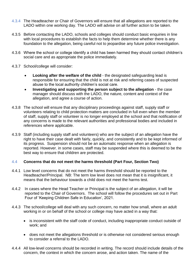- 4.3.4 The Headteacher or Chair of Governors will ensure that all allegations are reported to the LADO within one working day. The LADO will advise on all further action to be taken.
- 4.3.5 Before contacting the LADO, schools and colleges should conduct basic enquiries in line with local procedures to establish the facts to help them determine whether there is any foundation to the allegation, being careful not to jeopardise any future police investigation.
- 4.3.6 Where the school or college identify a child has been harmed they should contact children's social care and as appropriate the police immediately.
- 4.3.7 School/college will consider:
	- **Looking after the welfare of the child** the designated safeguarding lead is responsible for ensuring that the child is not at risk and referring cases of suspected abuse to the local authority children's social care.
	- **Investigating and supporting the person subject to the allegation** the case manager should discuss with the LADO, the nature, content and context of the allegation, and agree a course of action.
- 4.3.8 The school will ensure that any disciplinary proceedings against staff, supply staff or volunteers relating to child protection matters are concluded in full even when the member of staff, supply staff or volunteer is no longer employed at the school and that notification of any concerns is made to the relevant authorities and professional bodies and included in references where applicable.
- 4.3.9 Staff (including supply staff and volunteers) who are the subject of an allegation have the right to have their case dealt with fairly, quickly, and consistently and to be kept informed of its progress. Suspension should not be an automatic response when an allegation is reported. However, in some cases, staff may be suspended where this is deemed to be the best way to ensure that children are protected.

#### 4.4 **Concerns that do not meet the harms threshold (Part Four, Section Two)**

- 4.4.1 Low level concerns that do not meet the harms threshold should be reported to the Headteacher/Principal. NB: The term low level does not mean that it is insignificant, it means that the behaviour towards a child does not meet the harms test.
- 4.4.2 In cases where the Head Teacher or Principal is the subject of an allegation, it will be reported to the Chair of Governors. The school will follow the procedures set out in Part Four of 'Keeping Children Safe in Education', 2021.
- 4.4.3 The school/college will deal with any such concern, no matter how small, where an adult working in or on behalf of the school or college may have acted in a way that:
	- is inconsistent with the staff code of conduct, including inappropriate conduct outside of work; and
	- does not meet the allegations threshold or is otherwise not considered serious enough to consider a referral to the LADO.
- 4.4.4 All low-level concerns should be recorded in writing. The record should include details of the concern, the context in which the concern arose, and action taken. The name of the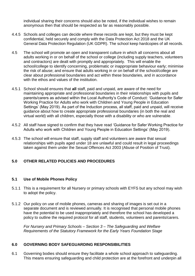individual sharing their concerns should also be noted, if the individual wishes to remain anonymous then that should be respected as far as reasonably possible.

- 4.4.5 Schools and colleges can decide where these records are kept, but they must be kept confidential, held securely and comply with the Data Protection Act 2018 and the UK General Data Protection Regulation (UK GDPR). The school keep hardcopies of all records.
- 4.5 The school will promote an open and transparent culture in which all concerns about all adults working in or on behalf of the school or college (including supply teachers, volunteers and contractors) are dealt with promptly and appropriately. This will enable the school/college to identify concerning, problematic or inappropriate behaviour early; minimise the risk of abuse; and ensure that adults working in or on behalf of the school/college are clear about professional boundaries and act within these boundaries, and in accordance with the ethos and values of the institution.
- 4.5.1 School should ensures that **all** staff, paid and unpaid, are aware of the need for maintaining appropriate and professional boundaries in their relationships with pupils and parents/carers as advised within the Local Authority's Code of Conduct: 'Guidance for Safer Working Practice for Adults who work with Children and Young People in Education Settings' (May 2019). As part of the Induction process, all staff, paid and unpaid, will receive guidance about how to create appropriate professional boundaries (in both the real and virtual world) with all children, especially those with a disability or who are vulnerable.
- 4.5.2 All staff have signed to confirm that they have read 'Guidance for Safer Working Practice for Adults who work with Children and Young People in Education Settings' (May 2019).
- 4.5.3 The school will ensure that staff, supply staff and volunteers are aware that sexual relationships with pupils aged under 18 are unlawful and could result in legal proceedings taken against them under the Sexual Offences Act 2003 (Abuse of Position of Trust).

#### **5.0 OTHER RELATED POLICIES AND PROCEDURES**

#### **5.1 Use of Mobile Phones Policy**

- 5.1.1 This is a requirement for all Nursery or primary schools with EYFS but any school may wish to adopt the policy.
- 5.1.2 Our policy on use of mobile phones, cameras and sharing of images is set out in a separate document and is reviewed annually. It is recognised that personal mobile phones have the potential to be used inappropriately and therefore the school has developed a policy to outline the required protocol for all staff, students, volunteers and parents/carers.

*For Nursery and Primary Schools – Section 3 – The Safeguarding and Welfare Requirements of the Statutory Framework for the Early Years Foundation Stage*

#### **6.0 GOVERNING BODY SAFEGUARDING RESPONSIBILITIES**

6.1 Governing bodies should ensure they facilitate a whole school approach to safeguarding. This means ensuring safeguarding and child protection are at the forefront and underpin all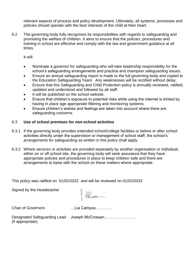relevant aspects of process and policy development. Ultimately, all systems, processes and policies should operate with the best interests of the child at their heart.

6.2 The governing body fully recognises its responsibilities with regards to safeguarding and promoting the welfare of children. It aims to ensure that the policies, procedures and training in school are effective and comply with the law and government guidance at all times.

It will:

- Nominate a governor for safeguarding who will take leadership responsibility for the school's safeguarding arrangements and practice and champion safeguarding issues.
- Ensure an annual safeguarding report is made to the full governing body and copied to the Education Safeguarding Team. Any weaknesses will be rectified without delay.
- Ensure that this Safeguarding and Child Protection policy is annually reviewed, ratified, updated and understood and followed by all staff.
- It will be published on the school website.
- Ensure that children's exposure to potential risks while using the internet is limited by having in place age appropriate filtering and monitoring systems.
- Ensure children's wishes and feelings are taken into account where there are safeguarding concerns.

#### 6.3 **Use of school premises for non-school activities**

- 6.3.1 If the governing body provides extended school/college facilities or before or after school activities directly under the supervision or management of school staff, the school's arrangements for safeguarding as written in this policy shall apply.
- 6.3.2 Where services or activities are provided separately by another organisation or individual, either on or off school site, the governing body will seek assurance that they have appropriate policies and procedures in place to keep children safe and there are arrangements to liaise with the school on these matters where appropriate.

This policy was ratified on 01/02/2022 and will be reviewed on 01/02/2033

Signed by the Headteacher

 $\sqrt{\frac{1}{1-\frac{1}{1-\frac{1}{1-\frac{1}{1-\frac{1}{1-\frac{1}{1-\frac{1}{1-\frac{1}{1-\frac{1}{1-\frac{1}{1-\frac{1}{1-\frac{1}{1-\frac{1}{1-\frac{1}{1-\frac{1}{1-\frac{1}{1-\frac{1}{1-\frac{1}{1-\frac{1}{1-\frac{1}{1-\frac{1}{1-\frac{1}{1-\frac{1}{1-\frac{1}{1-\frac{1}{1-\frac{1}{1-\frac{1}{1-\frac{1}{1-\frac{1}{1-\frac{1}{1-\frac{1}{1-\frac{1}{1-\frac{1}{1-\frac{1}{1-\frac{1}{1-\frac{1}{1-\frac$ 

Chair of Governors …Lia Campos…………

Designated Safeguarding Lead Joseph McCrossan…………………… (if appropriate).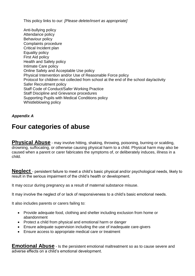This policy links to our: *[Please delete/insert as appropriate]*

Anti-bullying policy Attendance policy Behaviour policy Complaints procedure Critical Incident plan Equality policy First Aid policy Health and Safety policy Intimate Care policy Online Safety and Acceptable Use policy Physical Intervention and/or Use of Reasonable Force policy Protocol for children not collected from school at the end of the school day/activity Safer Recruitment policy Staff Code of Conduct/Safer Working Practice Staff Discipline and Grievance procedures Supporting Pupils with Medical Conditions policy Whistleblowing policy

#### *Appendix A*

## **Four categories of abuse**

**Physical Abuse** - may involve hitting, shaking, throwing, poisoning, burning or scalding, drowning, suffocating, or otherwise causing physical harm to a child. Physical harm may also be caused when a parent or carer fabricates the symptoms of, or deliberately induces, illness in a child.

**Neglect** - persistent failure to meet a child's basic physical and/or psychological needs, likely to result in the serious impairment of the child's health or development.

It may occur during pregnancy as a result of maternal substance misuse.

It may involve the neglect of or lack of responsiveness to a child's basic emotional needs.

It also includes parents or carers failing to:

- Provide adequate food, clothing and shelter including exclusion from home or abandonment
- Protect a child from physical and emotional harm or danger
- Ensure adequate supervision including the use of inadequate care-givers
- Ensure access to appropriate medical care or treatment

**Emotional Abuse** - Is the persistent emotional maltreatment so as to cause severe and adverse effects on a child's emotional development.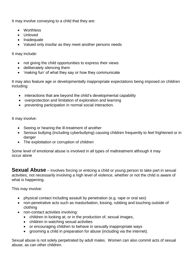It may involve conveying to a child that they are:

- Worthless
- Unloved
- Inadequate
- Valued only insofar as they meet another persons needs

It may include:

- not giving the child opportunities to express their views
- deliberately silencing them
- 'making fun' of what they say or how they communicate

It may also feature age or developmentally inappropriate expectations being imposed on children including:

- interactions that are beyond the child's developmental capability
- overprotection and limitation of exploration and learning
- preventing participation in normal social interaction.

It may involve:

- Seeing or hearing the ill-treatment of another
- Serious bullying (including cyberbullying) causing children frequently to feel frightened or in danger
- The exploitation or corruption of children

Some level of emotional abuse is involved in all types of maltreatment although it may occur alone

**Sexual Abuse** – involves forcing or enticing a child or young person to take part in sexual activities, not necessarily involving a high level of violence, whether or not the child is aware of what is happening.

This may involve:

- physical contact including assault by penetration (e.g. rape or oral sex)
- non-penetrative acts such as masturbation, kissing, rubbing and touching outside of clothing
- non-contact activities involving:
	- children in looking at, or in the production of, sexual images,
	- children in watching sexual activities
	- or encouraging children to behave in sexually inappropriate ways
	- grooming a child in preparation for abuse (including via the internet).

Sexual abuse is not solely perpetrated by adult males. Women can also commit acts of sexual abuse, as can other children.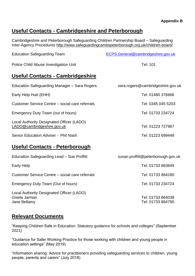#### **Appendix B**

### **Useful Contacts - Cambridgeshire and Peterborough**

Cambridgeshire and Peterborough Safeguarding Children Partnership Board – Safeguarding Inter-Agency Procedures<http://www.safeguardingcambspeterborough.org.uk/children-board/>

| <b>Education Safeguarding Team</b>                                      | ECPS.General@cambridgeshire.gov.uk |
|-------------------------------------------------------------------------|------------------------------------|
| Police Child Abuse Investigation Unit                                   | Tel: 101                           |
| Useful Contacts - Cambridgeshire                                        |                                    |
| Education Safeguarding Manager - Sara Rogers                            | sara.rogers@cambridgeshire.gov.uk  |
| Early Help Hub (EHH)                                                    | Tel: 01480 376666                  |
| Customer Service Centre – social care referrals                         | Tel: 0345 045 5203                 |
| Emergency Duty Team (out of hours)                                      | Tel: 01733 234724                  |
| Local Authority Designated Officer (LADO)<br>LADO@cambridgeshire.gov.uk | Tel: 01223 727967                  |

Senior Education Adviser – Phil Nash Tel: 01223 699448

## **Useful Contacts - Peterborough**

| Education Safeguarding Lead - Sue Proffitt                                 | susan.proffitt@peterborough.gov.uk     |
|----------------------------------------------------------------------------|----------------------------------------|
| Early Help                                                                 | Tel: 01733 863649                      |
| Customer Service Centre – social care referrals                            | Tel: 01733 864180                      |
| Emergency Duty Team (Out of hours)                                         | Tel: 01733 234724                      |
| Local Authority Designated Officer (LADO)<br>Gisela Jarman<br>Jane Bellamy | Tel: 01733 864038<br>Tel: 01733 864790 |

### **Relevant Documents**

"Keeping Children Safe in Education: Statutory guidance for schools and colleges" (September 2021)

"Guidance for Safer Working Practice for those working with children and young people in education settings" (May 2019)

"Information sharing: Advice for practitioners providing safeguarding services to children, young people, parents and carers" (July 2018)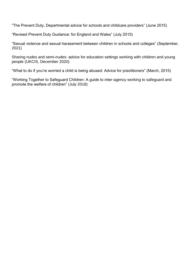"The Prevent Duty, Departmental advice for schools and childcare providers" (June 2015)

"Revised Prevent Duty Guidance: for England and Wales" (July 2015)

"Sexual violence and sexual harassment between children in schools and colleges" (September, 2021)

Sharing nudes and semi-nudes: advice for education settings working with children and young people (UKCIS, December 2020)

"What to do if you're worried a child is being abused: Advice for practitioners" (March, 2015)

"Working Together to Safeguard Children: A guide to inter-agency working to safeguard and promote the welfare of children" (July 2018)